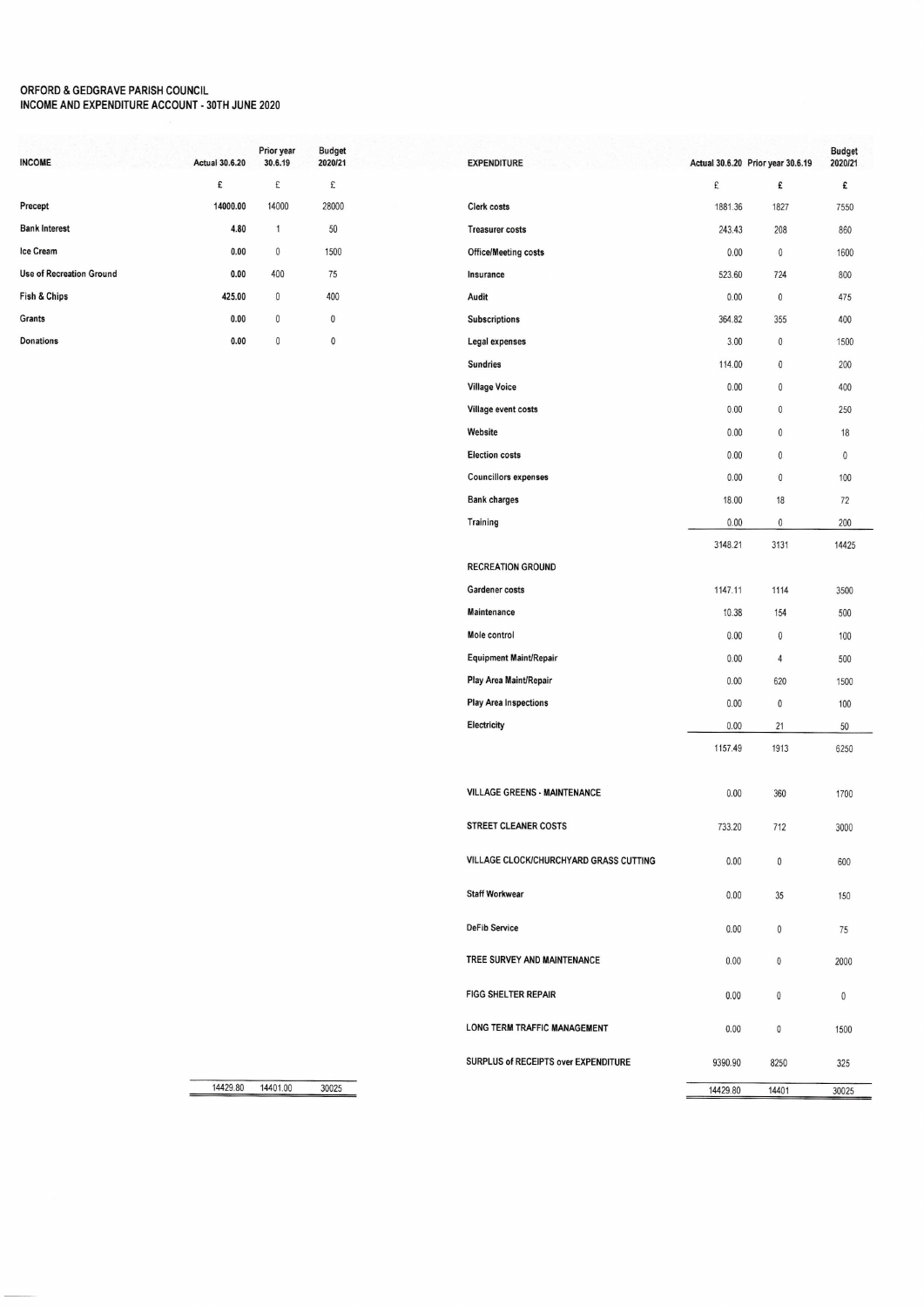## ORFORD & GEDGRAVE PARISH COUNCIL<br>INCOME AND EXPENDITURE ACCOUNT - 30TH JUNE 2020

| <b>INCOME</b>            | <b>Actual 30.6.20</b> | Prior year<br>30.6.19 | <b>Budget</b><br>2020/21 |
|--------------------------|-----------------------|-----------------------|--------------------------|
|                          | £                     | £                     | £                        |
| Precept                  | 14000.00              | 14000                 | 28000                    |
| <b>Bank Interest</b>     | 4.80                  | 1                     | 50                       |
| Ice Cream                | 0.00                  | 0                     | 1500                     |
| Use of Recreation Ground | 0.00                  | 400                   | 75                       |
| Fish & Chips             | 425.00                | 0                     | 400                      |
| Grants                   | 0.00                  | $\theta$              | 0                        |
| Donations                | 0.00                  | $\mathbf{0}$          | 0                        |
|                          |                       |                       |                          |

| <b>EXPENDITURE</b>                     |          | Actual 30.6.20 Prior year 30.6.19 | <b>Budget</b><br>2020/21 |
|----------------------------------------|----------|-----------------------------------|--------------------------|
|                                        | £        | £                                 | £                        |
| <b>Clerk costs</b>                     | 1881.36  | 1827                              | 7550                     |
| <b>Treasurer costs</b>                 | 243.43   | 208                               | 860                      |
| <b>Office/Meeting costs</b>            | 0.00     | $\theta$                          | 1600                     |
| Insurance                              | 523.60   | 724                               | 800                      |
| Audit                                  | 0.00     | 0                                 | 475                      |
| <b>Subscriptions</b>                   | 364.82   | 355                               | 400                      |
| Legal expenses                         | 3.00     | 0                                 | 1500                     |
| <b>Sundries</b>                        | 114.00   | $\mathbf{0}$                      | 200                      |
| <b>Village Voice</b>                   | 0.00     | $\mathbf{0}$                      | 400                      |
| Village event costs                    | 0.00     | 0                                 | 250                      |
| Website                                | 0.00     | $\mathbf{0}$                      | 18                       |
| <b>Election costs</b>                  | 0.00     | $\Omega$                          | $\Omega$                 |
| <b>Councillors expenses</b>            | 0.00     | $\mathbf{0}$                      | 100                      |
| <b>Bank charges</b>                    | 18.00    | 18                                | 72                       |
| Training                               | 0.00     | 0                                 | 200                      |
|                                        | 3148.21  | 3131                              | 14425                    |
| <b>RECREATION GROUND</b>               |          |                                   |                          |
| Gardener costs                         | 1147.11  | 1114                              | 3500                     |
| <b>Maintenance</b>                     | 10.38    | 154                               | 500                      |
| Mole control                           | 0.00     | 0                                 | 100                      |
| Equipment Maint/Repair                 | 0.00     | 4                                 | 500                      |
| Play Area Maint/Repair                 | 0.00     | 620                               | 1500                     |
| <b>Play Area Inspections</b>           | 0.00     | 0                                 | 100                      |
| Electricity                            | 0.00     | 21                                | 50                       |
|                                        | 1157.49  | 1913                              | 6250                     |
| <b>VILLAGE GREENS - MAINTENANCE</b>    | 0.00     | 360                               | 1700                     |
|                                        |          |                                   |                          |
| <b>STREET CLEANER COSTS</b>            | 733.20   | 712                               | 3000                     |
| VILLAGE CLOCK/CHURCHYARD GRASS CUTTING | 0.00     | 0                                 | 600                      |
| <b>Staff Workwear</b>                  | 0.00     | 35                                | 150                      |
| <b>DeFib Service</b>                   | 0.00     | 0                                 | 75                       |
| TREE SURVEY AND MAINTENANCE            | 0.00     | 0                                 | 2000                     |
| <b>FIGG SHELTER REPAIR</b>             | 0.00     | 0                                 | 0                        |
| LONG TERM TRAFFIC MANAGEMENT           | 0.00     | 0                                 | 1500                     |
| SURPLUS of RECEIPTS over EXPENDITURE   | 9390.90  | 8250                              | 325                      |
|                                        | 14429.80 | 14401                             | 30025                    |

14429.80 14401.00 30025